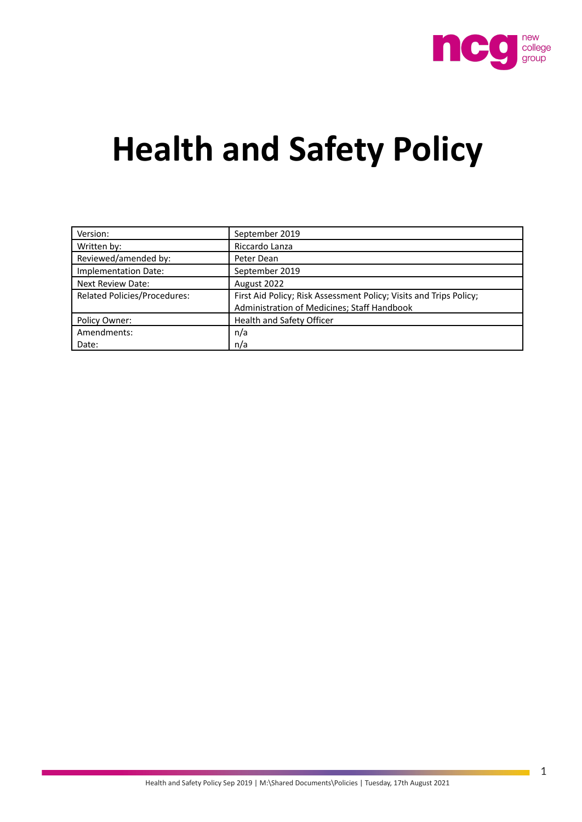

# **Health and Safety Policy**

| Version:                            | September 2019                                                     |
|-------------------------------------|--------------------------------------------------------------------|
| Written by:                         | Riccardo Lanza                                                     |
| Reviewed/amended by:                | Peter Dean                                                         |
| Implementation Date:                | September 2019                                                     |
| <b>Next Review Date:</b>            | August 2022                                                        |
| <b>Related Policies/Procedures:</b> | First Aid Policy; Risk Assessment Policy; Visits and Trips Policy; |
|                                     | Administration of Medicines; Staff Handbook                        |
| Policy Owner:                       | Health and Safety Officer                                          |
| Amendments:                         | n/a                                                                |
| Date:                               | n/a                                                                |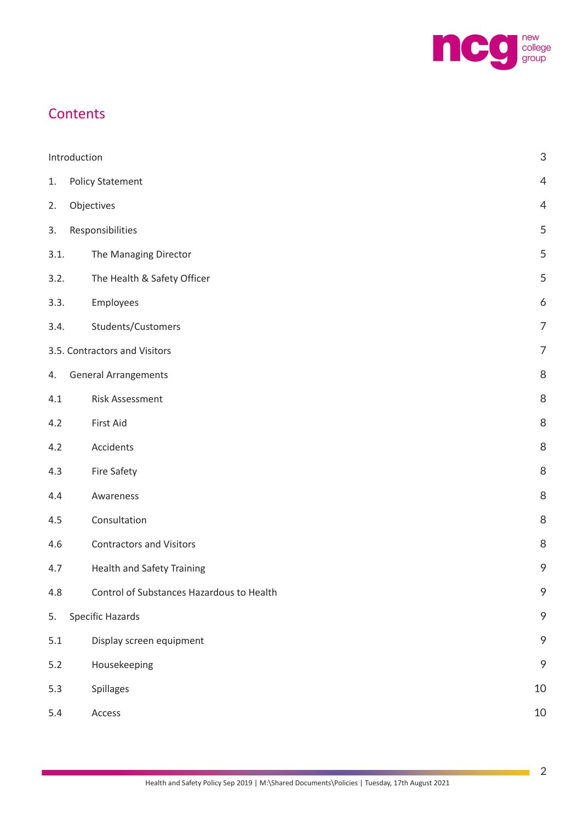

### **Contents**

|       | Introduction                              | $\ensuremath{\mathsf{3}}$ |
|-------|-------------------------------------------|---------------------------|
| 1.    | <b>Policy Statement</b>                   | $\overline{4}$            |
| 2.    | Objectives                                | 4                         |
| 3.    | Responsibilities                          | 5                         |
| 3.1.  | The Managing Director                     | 5                         |
| 3.2.  | The Health & Safety Officer               | 5                         |
| 3.3.  | Employees                                 | 6                         |
| 3.4.  | Students/Customers                        | $\overline{7}$            |
|       | 3.5. Contractors and Visitors             | $\overline{7}$            |
| 4.    | <b>General Arrangements</b>               | $\, 8$                    |
| 4.1   | <b>Risk Assessment</b>                    | $\, 8$                    |
| 4.2   | First Aid                                 | $\, 8$                    |
| 4.2   | Accidents                                 | 8                         |
| 4.3   | Fire Safety                               | 8                         |
| 4.4   | Awareness                                 | 8                         |
| 4.5   | Consultation                              | $\, 8$                    |
| 4.6   | <b>Contractors and Visitors</b>           | 8                         |
| 4.7   | <b>Health and Safety Training</b>         | 9                         |
| 4.8   | Control of Substances Hazardous to Health | $\mathcal{P}$             |
| 5.    | <b>Specific Hazards</b>                   | $\mathcal{P}$             |
| 5.1   | Display screen equipment                  | $\mathcal{P}$             |
| $5.2$ | Housekeeping                              | 9                         |
| 5.3   | Spillages                                 | 10                        |
| 5.4   | Access                                    | 10                        |

 $\mathcal{L}_{\mathcal{A}}$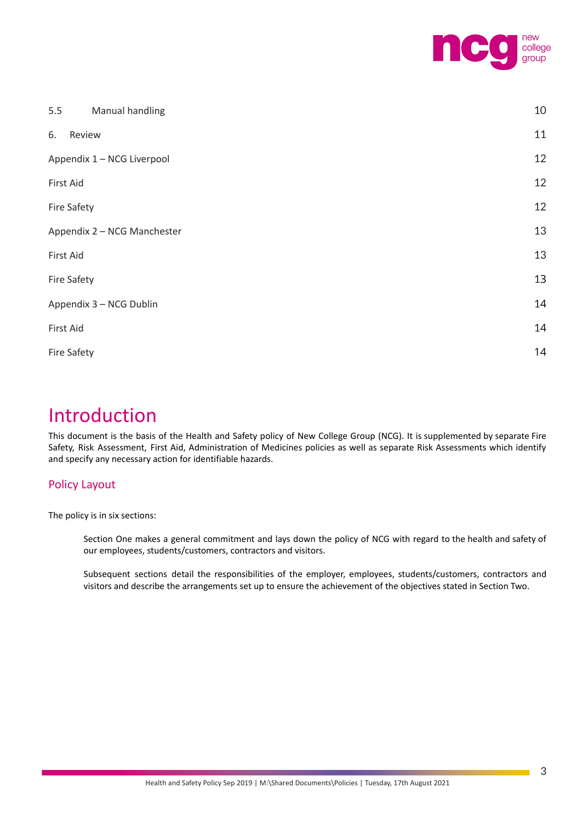

| 5.5<br>Manual handling      | 10 |
|-----------------------------|----|
| Review<br>6.                | 11 |
| Appendix 1 - NCG Liverpool  | 12 |
| First Aid                   | 12 |
| Fire Safety                 | 12 |
| Appendix 2 - NCG Manchester | 13 |
| First Aid                   | 13 |
| <b>Fire Safety</b>          | 13 |
| Appendix 3 - NCG Dublin     | 14 |
| First Aid                   | 14 |
| <b>Fire Safety</b>          | 14 |
|                             |    |

# <span id="page-2-0"></span>Introduction

This document is the basis of the Health and Safety policy of New College Group (NCG). It is supplemented by separate Fire Safety, Risk Assessment, First Aid, Administration of Medicines policies as well as separate Risk Assessments which identify and specify any necessary action for identifiable hazards.

#### Policy Layout

The policy is in six sections:

Section One makes a general commitment and lays down the policy of NCG with regard to the health and safety of our employees, students/customers, contractors and visitors.

Subsequent sections detail the responsibilities of the employer, employees, students/customers, contractors and visitors and describe the arrangements set up to ensure the achievement of the objectives stated in Section Two.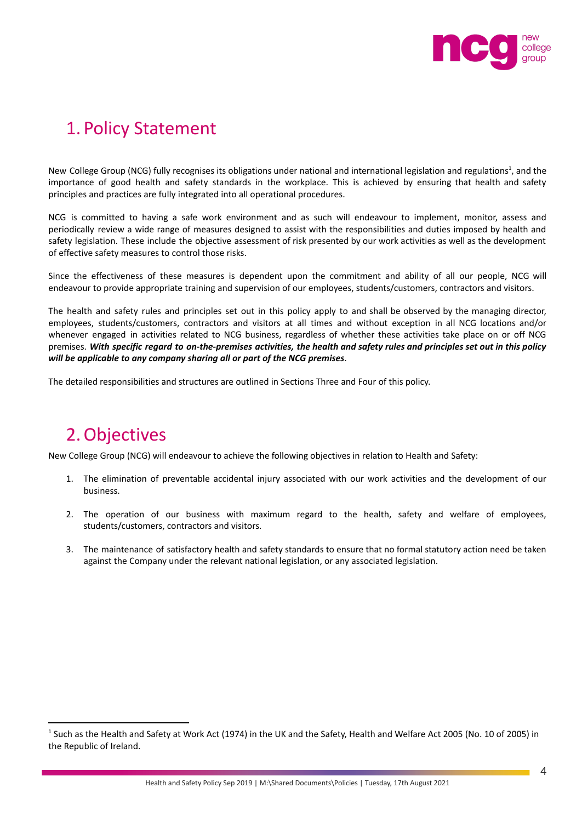

# <span id="page-3-0"></span>1. Policy Statement

New College Group (NCG) fully recognises its obligations under national and international legislation and regulations<sup>1</sup>, and the importance of good health and safety standards in the workplace. This is achieved by ensuring that health and safety principles and practices are fully integrated into all operational procedures.

NCG is committed to having a safe work environment and as such will endeavour to implement, monitor, assess and periodically review a wide range of measures designed to assist with the responsibilities and duties imposed by health and safety legislation. These include the objective assessment of risk presented by our work activities as well as the development of effective safety measures to control those risks.

Since the effectiveness of these measures is dependent upon the commitment and ability of all our people, NCG will endeavour to provide appropriate training and supervision of our employees, students/customers, contractors and visitors.

The health and safety rules and principles set out in this policy apply to and shall be observed by the managing director, employees, students/customers, contractors and visitors at all times and without exception in all NCG locations and/or whenever engaged in activities related to NCG business, regardless of whether these activities take place on or off NCG premises. With specific regard to on-the-premises activities, the health and safety rules and principles set out in this policy *will be applicable to any company sharing all or part of the NCG premises*.

The detailed responsibilities and structures are outlined in Sections Three and Four of this policy.

## <span id="page-3-1"></span>2.Objectives

New College Group (NCG) will endeavour to achieve the following objectives in relation to Health and Safety:

- 1. The elimination of preventable accidental injury associated with our work activities and the development of our business.
- 2. The operation of our business with maximum regard to the health, safety and welfare of employees, students/customers, contractors and visitors.
- 3. The maintenance of satisfactory health and safety standards to ensure that no formal statutory action need be taken against the Company under the relevant national legislation, or any associated legislation.

<sup>&</sup>lt;sup>1</sup> Such as the Health and Safety at Work Act (1974) in the UK and the Safety, Health and Welfare Act 2005 (No. 10 of 2005) in the Republic of Ireland.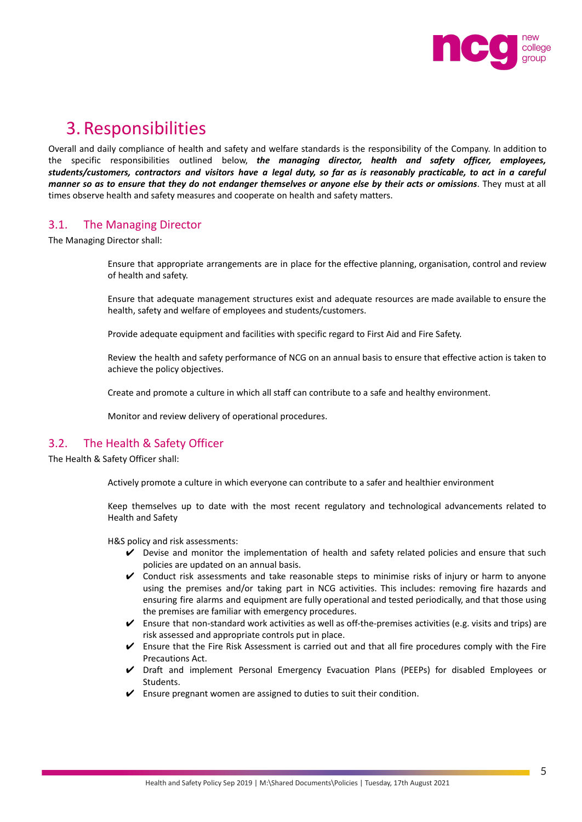

## <span id="page-4-0"></span>3. Responsibilities

Overall and daily compliance of health and safety and welfare standards is the responsibility of the Company. In addition to the specific responsibilities outlined below, *the managing director, health and safety officer, employees,* students/customers, contractors and visitors have a legal duty, so far as is reasonably practicable, to act in a careful manner so as to ensure that they do not endanger themselves or anyone else by their acts or omissions. They must at all times observe health and safety measures and cooperate on health and safety matters.

#### <span id="page-4-1"></span>3.1. The Managing Director

The Managing Director shall:

Ensure that appropriate arrangements are in place for the effective planning, organisation, control and review of health and safety.

Ensure that adequate management structures exist and adequate resources are made available to ensure the health, safety and welfare of employees and students/customers.

Provide adequate equipment and facilities with specific regard to First Aid and Fire Safety.

Review the health and safety performance of NCG on an annual basis to ensure that effective action is taken to achieve the policy objectives.

Create and promote a culture in which all staff can contribute to a safe and healthy environment.

Monitor and review delivery of operational procedures.

#### <span id="page-4-2"></span>3.2. The Health & Safety Officer

The Health & Safety Officer shall:

Actively promote a culture in which everyone can contribute to a safer and healthier environment

Keep themselves up to date with the most recent regulatory and technological advancements related to Health and Safety

H&S policy and risk assessments:

- $\vee$  Devise and monitor the implementation of health and safety related policies and ensure that such policies are updated on an annual basis.
- $\checkmark$  Conduct risk assessments and take reasonable steps to minimise risks of injury or harm to anyone using the premises and/or taking part in NCG activities. This includes: removing fire hazards and ensuring fire alarms and equipment are fully operational and tested periodically, and that those using the premises are familiar with emergency procedures.
- $\checkmark$  Ensure that non-standard work activities as well as off-the-premises activities (e.g. visits and trips) are risk assessed and appropriate controls put in place.
- $\triangleright$  Ensure that the Fire Risk Assessment is carried out and that all fire procedures comply with the Fire Precautions Act.
- ✔ Draft and implement Personal Emergency Evacuation Plans (PEEPs) for disabled Employees or Students.
- $\checkmark$  Ensure pregnant women are assigned to duties to suit their condition.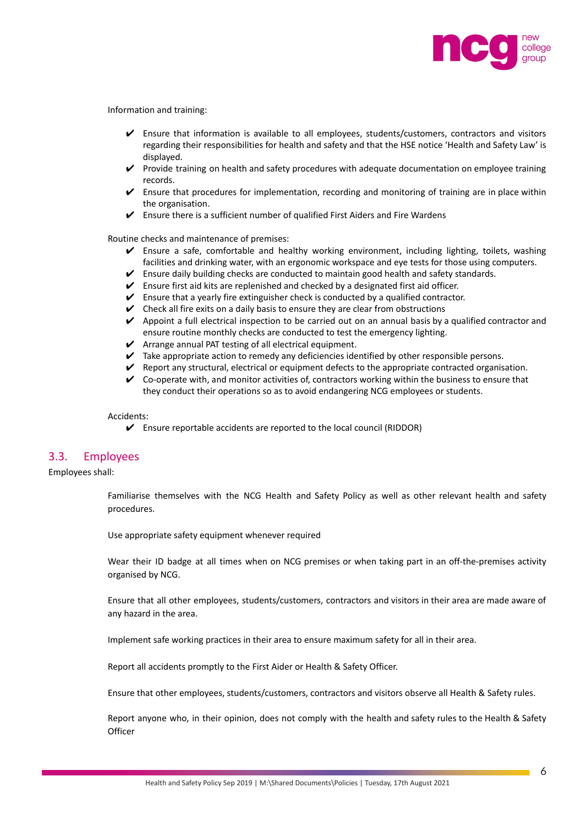

Information and training:

- ✔ Ensure that information is available to all employees, students/customers, contractors and visitors regarding their responsibilities for health and safety and that the HSE notice 'Health and Safety Law' is displayed.
- ✔ Provide training on health and safety procedures with adequate documentation on employee training records.
- $\checkmark$  Ensure that procedures for implementation, recording and monitoring of training are in place within the organisation.
- $\checkmark$  Ensure there is a sufficient number of qualified First Aiders and Fire Wardens

Routine checks and maintenance of premises:

- ✔ Ensure a safe, comfortable and healthy working environment, including lighting, toilets, washing facilities and drinking water, with an ergonomic workspace and eye tests for those using computers.
- $\triangledown$  Ensure daily building checks are conducted to maintain good health and safety standards.
- $\checkmark$  Ensure first aid kits are replenished and checked by a designated first aid officer.
- $\triangleright$  Ensure that a yearly fire extinguisher check is conducted by a qualified contractor.
- $\vee$  Check all fire exits on a daily basis to ensure they are clear from obstructions
- $\vee$  Appoint a full electrical inspection to be carried out on an annual basis by a qualified contractor and ensure routine monthly checks are conducted to test the emergency lighting.
- $\blacktriangleright$  Arrange annual PAT testing of all electrical equipment.
- $\triangledown$  Take appropriate action to remedy any deficiencies identified by other responsible persons.
- $\blacktriangledown$  Report any structural, electrical or equipment defects to the appropriate contracted organisation.
- $\checkmark$  Co-operate with, and monitor activities of, contractors working within the business to ensure that they conduct their operations so as to avoid endangering NCG employees or students.

#### Accidents:

 $\triangleright$  Ensure reportable accidents are reported to the local council (RIDDOR)

#### <span id="page-5-0"></span>3.3. Employees

Employees shall:

Familiarise themselves with the NCG Health and Safety Policy as well as other relevant health and safety procedures.

Use appropriate safety equipment whenever required

Wear their ID badge at all times when on NCG premises or when taking part in an off-the-premises activity organised by NCG.

Ensure that all other employees, students/customers, contractors and visitors in their area are made aware of any hazard in the area.

Implement safe working practices in their area to ensure maximum safety for all in their area.

Report all accidents promptly to the First Aider or Health & Safety Officer.

Ensure that other employees, students/customers, contractors and visitors observe all Health & Safety rules.

Report anyone who, in their opinion, does not comply with the health and safety rules to the Health & Safety **Officer**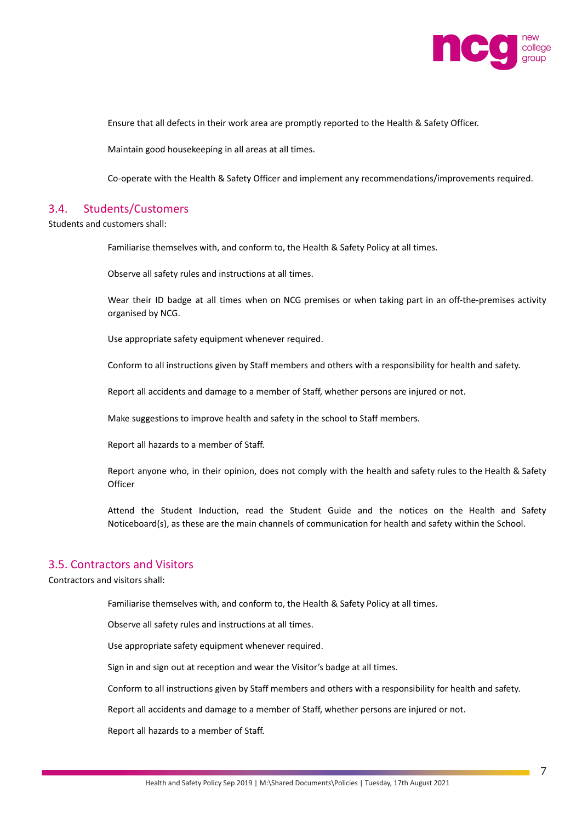

Ensure that all defects in their work area are promptly reported to the Health & Safety Officer.

Maintain good housekeeping in all areas at all times.

Co-operate with the Health & Safety Officer and implement any recommendations/improvements required.

#### <span id="page-6-0"></span>3.4. Students/Customers

Students and customers shall:

Familiarise themselves with, and conform to, the Health & Safety Policy at all times.

Observe all safety rules and instructions at all times.

Wear their ID badge at all times when on NCG premises or when taking part in an off-the-premises activity organised by NCG.

Use appropriate safety equipment whenever required.

Conform to all instructions given by Staff members and others with a responsibility for health and safety.

Report all accidents and damage to a member of Staff, whether persons are injured or not.

Make suggestions to improve health and safety in the school to Staff members.

Report all hazards to a member of Staff.

Report anyone who, in their opinion, does not comply with the health and safety rules to the Health & Safety **Officer** 

Attend the Student Induction, read the Student Guide and the notices on the Health and Safety Noticeboard(s), as these are the main channels of communication for health and safety within the School.

#### <span id="page-6-1"></span>3.5. Contractors and Visitors

Contractors and visitors shall:

Familiarise themselves with, and conform to, the Health & Safety Policy at all times.

Observe all safety rules and instructions at all times.

Use appropriate safety equipment whenever required.

Sign in and sign out at reception and wear the Visitor's badge at all times.

Conform to all instructions given by Staff members and others with a responsibility for health and safety.

Report all accidents and damage to a member of Staff, whether persons are injured or not.

Report all hazards to a member of Staff.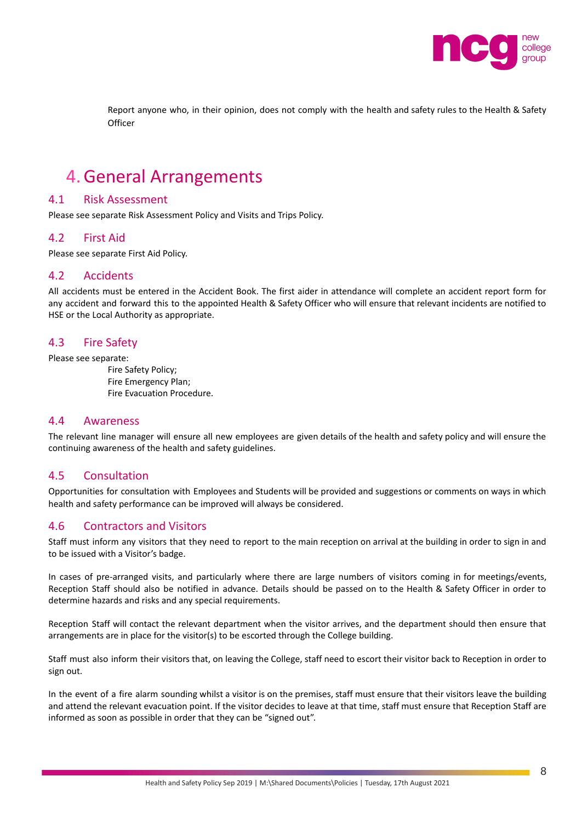

Report anyone who, in their opinion, does not comply with the health and safety rules to the Health & Safety **Officer** 

### <span id="page-7-0"></span>4.General Arrangements

#### <span id="page-7-1"></span>4.1 Risk Assessment

Please see separate Risk Assessment Policy and Visits and Trips Policy.

#### <span id="page-7-2"></span>4.2 First Aid

Please see separate First Aid Policy.

#### <span id="page-7-3"></span>4.2 Accidents

All accidents must be entered in the Accident Book. The first aider in attendance will complete an accident report form for any accident and forward this to the appointed Health & Safety Officer who will ensure that relevant incidents are notified to HSE or the Local Authority as appropriate.

#### <span id="page-7-4"></span>4.3 Fire Safety

Please see separate:

Fire Safety Policy; Fire Emergency Plan; Fire Evacuation Procedure.

#### <span id="page-7-5"></span>4.4 Awareness

The relevant line manager will ensure all new employees are given details of the health and safety policy and will ensure the continuing awareness of the health and safety guidelines.

#### <span id="page-7-6"></span>4.5 Consultation

Opportunities for consultation with Employees and Students will be provided and suggestions or comments on ways in which health and safety performance can be improved will always be considered.

#### <span id="page-7-7"></span>4.6 Contractors and Visitors

Staff must inform any visitors that they need to report to the main reception on arrival at the building in order to sign in and to be issued with a Visitor's badge.

In cases of pre-arranged visits, and particularly where there are large numbers of visitors coming in for meetings/events, Reception Staff should also be notified in advance. Details should be passed on to the Health & Safety Officer in order to determine hazards and risks and any special requirements.

Reception Staff will contact the relevant department when the visitor arrives, and the department should then ensure that arrangements are in place for the visitor(s) to be escorted through the College building.

Staff must also inform their visitors that, on leaving the College, staff need to escort their visitor back to Reception in order to sign out.

In the event of a fire alarm sounding whilst a visitor is on the premises, staff must ensure that their visitors leave the building and attend the relevant evacuation point. If the visitor decides to leave at that time, staff must ensure that Reception Staff are informed as soon as possible in order that they can be "signed out".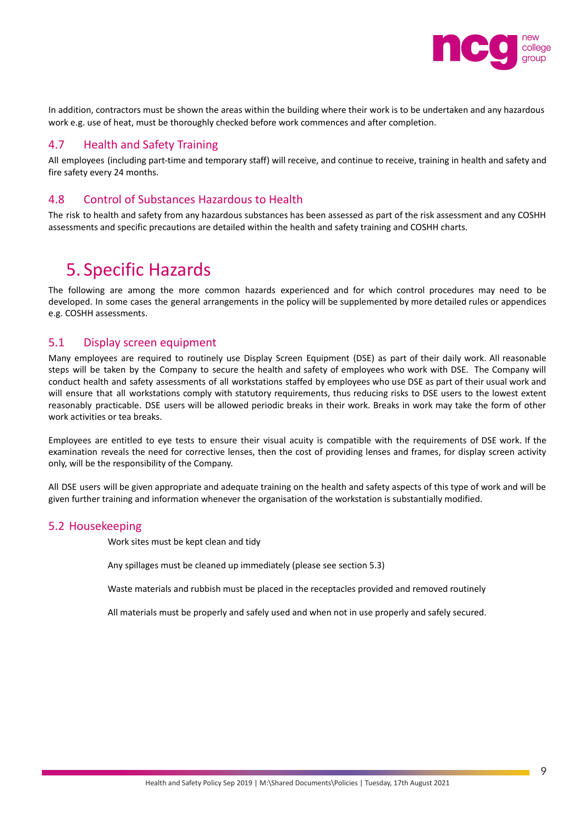

In addition, contractors must be shown the areas within the building where their work is to be undertaken and any hazardous work e.g. use of heat, must be thoroughly checked before work commences and after completion.

#### <span id="page-8-0"></span>4.7 Health and Safety Training

All employees (including part-time and temporary staff) will receive, and continue to receive, training in health and safety and fire safety every 24 months.

#### <span id="page-8-1"></span>4.8 Control of Substances Hazardous to Health

The risk to health and safety from any hazardous substances has been assessed as part of the risk assessment and any COSHH assessments and specific precautions are detailed within the health and safety training and COSHH charts.

### <span id="page-8-2"></span>5. Specific Hazards

The following are among the more common hazards experienced and for which control procedures may need to be developed. In some cases the general arrangements in the policy will be supplemented by more detailed rules or appendices e.g. COSHH assessments.

#### <span id="page-8-3"></span>5.1 Display screen equipment

Many employees are required to routinely use Display Screen Equipment (DSE) as part of their daily work. All reasonable steps will be taken by the Company to secure the health and safety of employees who work with DSE. The Company will conduct health and safety assessments of all workstations staffed by employees who use DSE as part of their usual work and will ensure that all workstations comply with statutory requirements, thus reducing risks to DSE users to the lowest extent reasonably practicable. DSE users will be allowed periodic breaks in their work. Breaks in work may take the form of other work activities or tea breaks.

Employees are entitled to eye tests to ensure their visual acuity is compatible with the requirements of DSE work. If the examination reveals the need for corrective lenses, then the cost of providing lenses and frames, for display screen activity only, will be the responsibility of the Company.

All DSE users will be given appropriate and adequate training on the health and safety aspects of this type of work and will be given further training and information whenever the organisation of the workstation is substantially modified.

#### <span id="page-8-4"></span>5.2 Housekeeping

Work sites must be kept clean and tidy

Any spillages must be cleaned up immediately (please see section 5.3)

Waste materials and rubbish must be placed in the receptacles provided and removed routinely

All materials must be properly and safely used and when not in use properly and safely secured.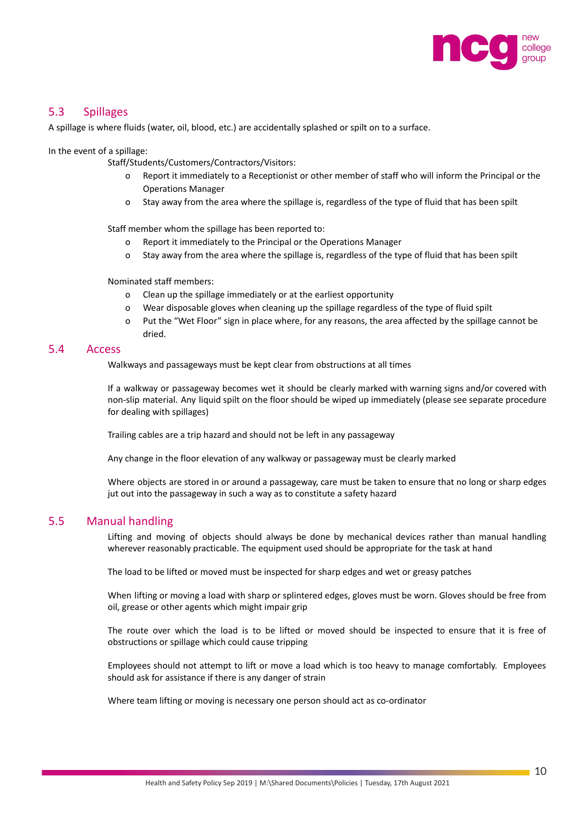

#### <span id="page-9-0"></span>5.3 Spillages

A spillage is where fluids (water, oil, blood, etc.) are accidentally splashed or spilt on to a surface.

In the event of a spillage:

Staff/Students/Customers/Contractors/Visitors:

- o Report it immediately to a Receptionist or other member of staff who will inform the Principal or the Operations Manager
- o Stay away from the area where the spillage is, regardless of the type of fluid that has been spilt

Staff member whom the spillage has been reported to:

- o Report it immediately to the Principal or the Operations Manager
- o Stay away from the area where the spillage is, regardless of the type of fluid that has been spilt

Nominated staff members:

- o Clean up the spillage immediately or at the earliest opportunity
- o Wear disposable gloves when cleaning up the spillage regardless of the type of fluid spilt
- o Put the "Wet Floor" sign in place where, for any reasons, the area affected by the spillage cannot be dried.

#### <span id="page-9-1"></span>5.4 Access

Walkways and passageways must be kept clear from obstructions at all times

If a walkway or passageway becomes wet it should be clearly marked with warning signs and/or covered with non-slip material. Any liquid spilt on the floor should be wiped up immediately (please see separate procedure for dealing with spillages)

Trailing cables are a trip hazard and should not be left in any passageway

Any change in the floor elevation of any walkway or passageway must be clearly marked

Where objects are stored in or around a passageway, care must be taken to ensure that no long or sharp edges jut out into the passageway in such a way as to constitute a safety hazard

#### <span id="page-9-2"></span>5.5 Manual handling

Lifting and moving of objects should always be done by mechanical devices rather than manual handling wherever reasonably practicable. The equipment used should be appropriate for the task at hand

The load to be lifted or moved must be inspected for sharp edges and wet or greasy patches

When lifting or moving a load with sharp or splintered edges, gloves must be worn. Gloves should be free from oil, grease or other agents which might impair grip

The route over which the load is to be lifted or moved should be inspected to ensure that it is free of obstructions or spillage which could cause tripping

Employees should not attempt to lift or move a load which is too heavy to manage comfortably. Employees should ask for assistance if there is any danger of strain

Where team lifting or moving is necessary one person should act as co-ordinator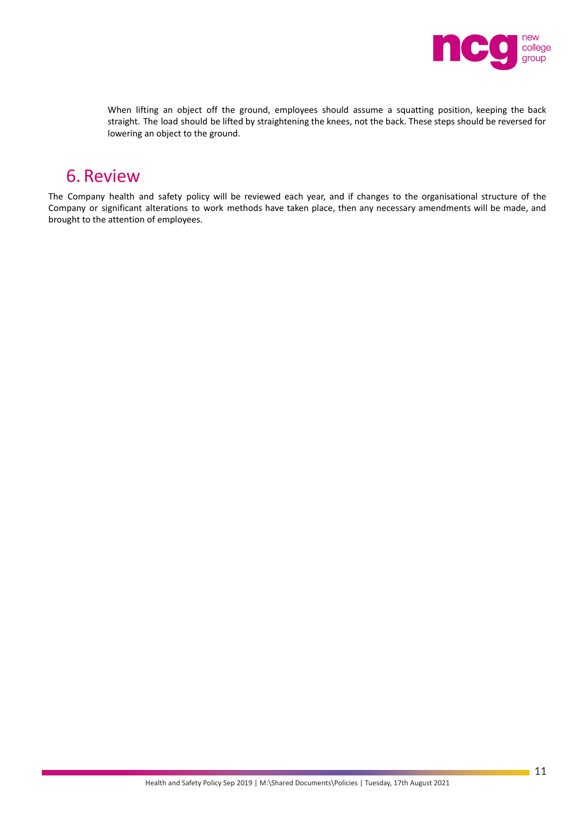

When lifting an object off the ground, employees should assume a squatting position, keeping the back straight. The load should be lifted by straightening the knees, not the back. These steps should be reversed for lowering an object to the ground.

## <span id="page-10-0"></span>6. Review

The Company health and safety policy will be reviewed each year, and if changes to the organisational structure of the Company or significant alterations to work methods have taken place, then any necessary amendments will be made, and brought to the attention of employees.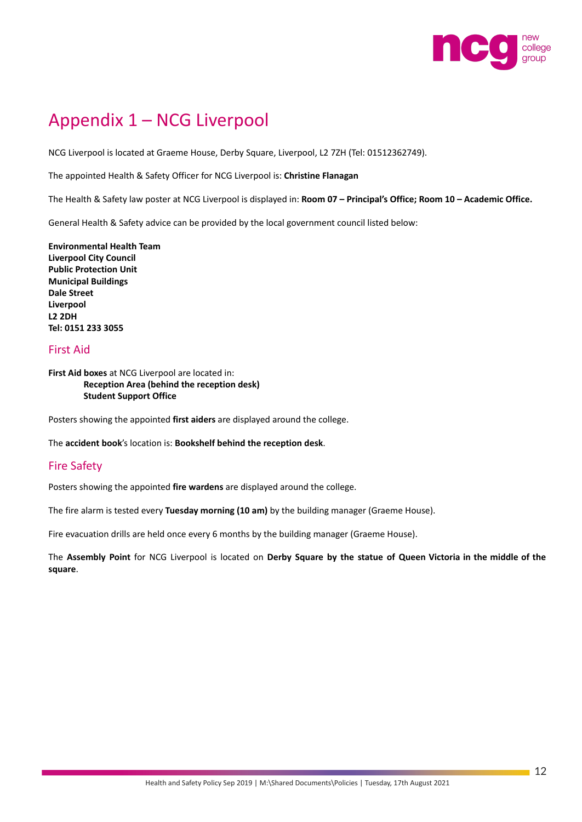

# <span id="page-11-0"></span>Appendix 1 – NCG Liverpool

NCG Liverpool is located at Graeme House, Derby Square, Liverpool, L2 7ZH (Tel: 01512362749).

The appointed Health & Safety Officer for NCG Liverpool is: **Christine Flanagan**

The Health & Safety law poster at NCG Liverpool is displayed in: **Room 07 – Principal's Office; Room 10 – Academic Office.**

General Health & Safety advice can be provided by the local government council listed below:

**Environmental Health Team Liverpool City Council Public Protection Unit Municipal Buildings Dale Street Liverpool L2 2DH Tel: 0151 233 3055**

#### <span id="page-11-1"></span>First Aid

**First Aid boxes** at NCG Liverpool are located in: **Reception Area (behind the reception desk) Student Support Office**

Posters showing the appointed **first aiders** are displayed around the college.

The **accident book**'s location is: **Bookshelf behind the reception desk**.

#### <span id="page-11-2"></span>Fire Safety

Posters showing the appointed **fire wardens** are displayed around the college.

The fire alarm is tested every **Tuesday morning (10 am)** by the building manager (Graeme House).

Fire evacuation drills are held once every 6 months by the building manager (Graeme House).

The **Assembly Point** for NCG Liverpool is located on **Derby Square by the statue of Queen Victoria in the middle of the square**.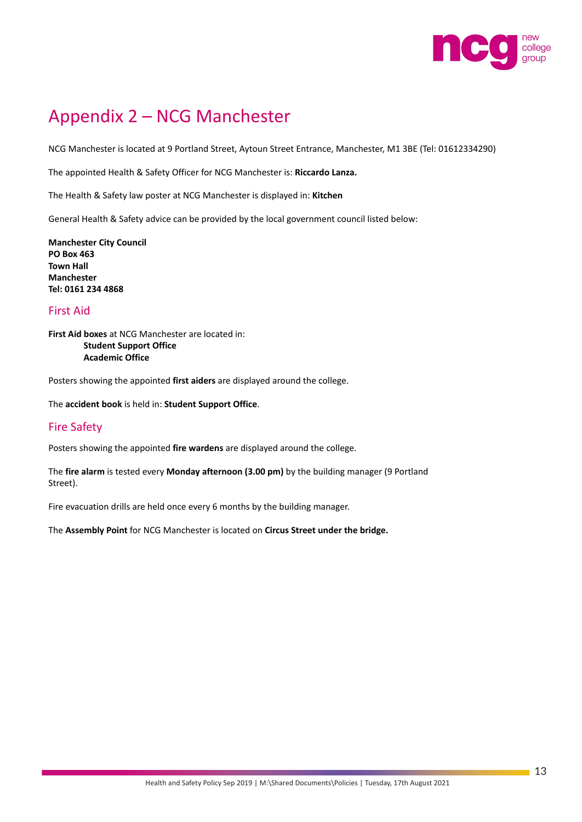

# Appendix 2 – NCG Manchester

NCG Manchester is located at 9 Portland Street, Aytoun Street Entrance, Manchester, M1 3BE (Tel: 01612334290)

The appointed Health & Safety Officer for NCG Manchester is: **Riccardo Lanza.**

The Health & Safety law poster at NCG Manchester is displayed in: **Kitchen**

General Health & Safety advice can be provided by the local government council listed below:

**Manchester City Council PO Box 463 Town Hall Manchester Tel: 0161 234 4868**

#### First Aid

**First Aid boxes** at NCG Manchester are located in: **Student Support Office Academic Office**

Posters showing the appointed **first aiders** are displayed around the college.

The **accident book** is held in: **Student Support Office**.

#### Fire Safety

Posters showing the appointed **fire wardens** are displayed around the college.

The **fire alarm** is tested every **Monday afternoon (3.00 pm)** by the building manager (9 Portland Street).

Fire evacuation drills are held once every 6 months by the building manager.

The **Assembly Point** for NCG Manchester is located on **Circus Street under the bridge.**